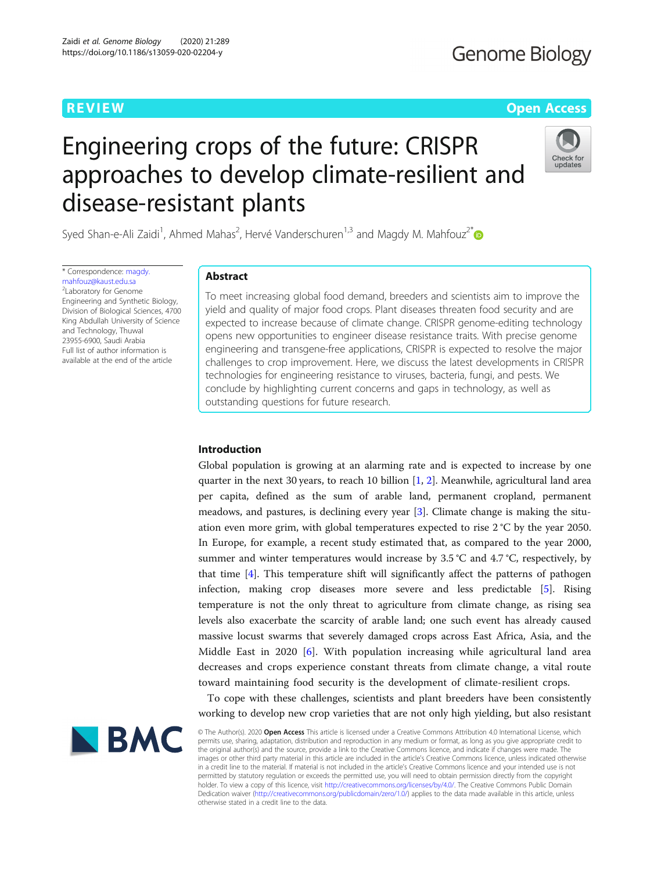# **REVIEW CONTROL** CONTROL CONTROL CONTROL CONTROL CONTROL CONTROL CONTROL CONTROL CONTROL CONTROL CONTROL CONTROL CONTROL CONTROL CONTROL CONTROL CONTROL CONTROL CONTROL CONTROL CONTROL CONTROL CONTROL CONTROL CONTROL CONTR

# Engineering crops of the future: CRISPR approaches to develop climate-resilient and disease-resistant plants



Syed Shan-e-Ali Zaidi<sup>1</sup>, Ahmed Mahas<sup>2</sup>, Hervé Vanderschuren<sup>1,3</sup> and Magdy M. Mahfouz<sup>2[\\*](http://orcid.org/0000-0002-0616-6365)</sup>

\* Correspondence: [magdy.](mailto:magdy.mahfouz@kaust.edu.sa) [mahfouz@kaust.edu.sa](mailto:magdy.mahfouz@kaust.edu.sa) 2 Laboratory for Genome Engineering and Synthetic Biology, Division of Biological Sciences, 4700 King Abdullah University of Science and Technology, Thuwal 23955-6900, Saudi Arabia Full list of author information is available at the end of the article

# Abstract

To meet increasing global food demand, breeders and scientists aim to improve the yield and quality of major food crops. Plant diseases threaten food security and are expected to increase because of climate change. CRISPR genome-editing technology opens new opportunities to engineer disease resistance traits. With precise genome engineering and transgene-free applications, CRISPR is expected to resolve the major challenges to crop improvement. Here, we discuss the latest developments in CRISPR technologies for engineering resistance to viruses, bacteria, fungi, and pests. We conclude by highlighting current concerns and gaps in technology, as well as outstanding questions for future research.

## Introduction

Global population is growing at an alarming rate and is expected to increase by one quarter in the next 30 years, to reach 10 billion [[1,](#page-15-0) [2\]](#page-15-0). Meanwhile, agricultural land area per capita, defined as the sum of arable land, permanent cropland, permanent meadows, and pastures, is declining every year [[3\]](#page-15-0). Climate change is making the situation even more grim, with global temperatures expected to rise 2 °C by the year 2050. In Europe, for example, a recent study estimated that, as compared to the year 2000, summer and winter temperatures would increase by 3.5 °C and 4.7 °C, respectively, by that time [\[4\]](#page-15-0). This temperature shift will significantly affect the patterns of pathogen infection, making crop diseases more severe and less predictable [\[5](#page-15-0)]. Rising temperature is not the only threat to agriculture from climate change, as rising sea levels also exacerbate the scarcity of arable land; one such event has already caused massive locust swarms that severely damaged crops across East Africa, Asia, and the Middle East in 2020 [\[6](#page-15-0)]. With population increasing while agricultural land area decreases and crops experience constant threats from climate change, a vital route toward maintaining food security is the development of climate-resilient crops.

To cope with these challenges, scientists and plant breeders have been consistently working to develop new crop varieties that are not only high yielding, but also resistant



© The Author(s). 2020 Open Access This article is licensed under a Creative Commons Attribution 4.0 International License, which permits use, sharing, adaptation, distribution and reproduction in any medium or format, as long as you give appropriate credit to the original author(s) and the source, provide a link to the Creative Commons licence, and indicate if changes were made. The images or other third party material in this article are included in the article's Creative Commons licence, unless indicated otherwise in a credit line to the material. If material is not included in the article's Creative Commons licence and your intended use is not permitted by statutory regulation or exceeds the permitted use, you will need to obtain permission directly from the copyright<br>holder. To view a copy of this licence, visit [http://creativecommons.org/licenses/by/4.0/.](http://creativecommons.org/licenses/by/4.0/) The Dedication waiver [\(http://creativecommons.org/publicdomain/zero/1.0/](http://creativecommons.org/publicdomain/zero/1.0/)) applies to the data made available in this article, unless otherwise stated in a credit line to the data.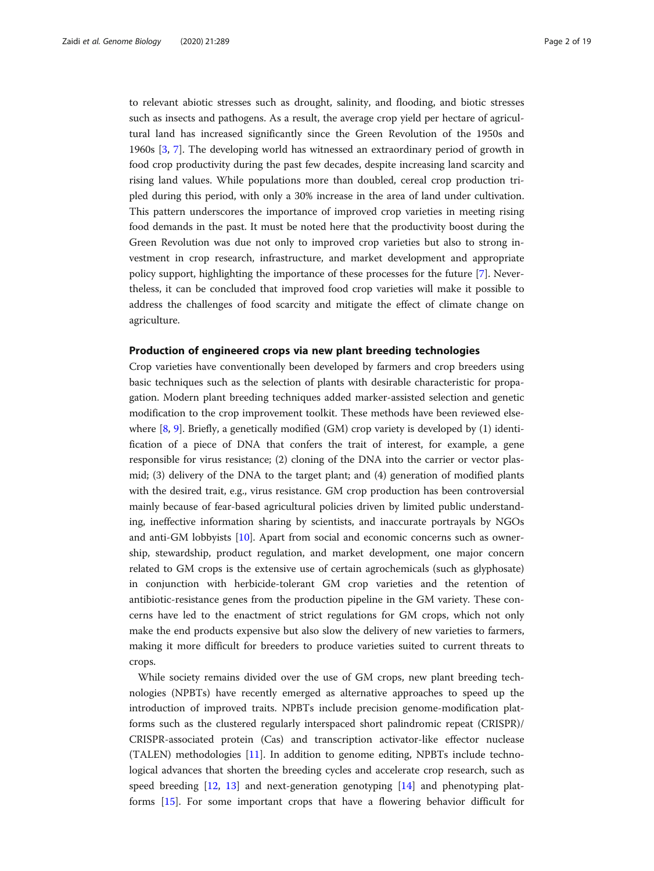to relevant abiotic stresses such as drought, salinity, and flooding, and biotic stresses such as insects and pathogens. As a result, the average crop yield per hectare of agricultural land has increased significantly since the Green Revolution of the 1950s and 1960s [[3,](#page-15-0) [7\]](#page-15-0). The developing world has witnessed an extraordinary period of growth in food crop productivity during the past few decades, despite increasing land scarcity and rising land values. While populations more than doubled, cereal crop production tripled during this period, with only a 30% increase in the area of land under cultivation. This pattern underscores the importance of improved crop varieties in meeting rising food demands in the past. It must be noted here that the productivity boost during the Green Revolution was due not only to improved crop varieties but also to strong investment in crop research, infrastructure, and market development and appropriate policy support, highlighting the importance of these processes for the future [\[7](#page-15-0)]. Nevertheless, it can be concluded that improved food crop varieties will make it possible to address the challenges of food scarcity and mitigate the effect of climate change on agriculture.

#### Production of engineered crops via new plant breeding technologies

Crop varieties have conventionally been developed by farmers and crop breeders using basic techniques such as the selection of plants with desirable characteristic for propagation. Modern plant breeding techniques added marker-assisted selection and genetic modification to the crop improvement toolkit. These methods have been reviewed elsewhere  $[8, 9]$  $[8, 9]$  $[8, 9]$  $[8, 9]$ . Briefly, a genetically modified  $(GM)$  crop variety is developed by  $(1)$  identification of a piece of DNA that confers the trait of interest, for example, a gene responsible for virus resistance; (2) cloning of the DNA into the carrier or vector plasmid; (3) delivery of the DNA to the target plant; and (4) generation of modified plants with the desired trait, e.g., virus resistance. GM crop production has been controversial mainly because of fear-based agricultural policies driven by limited public understanding, ineffective information sharing by scientists, and inaccurate portrayals by NGOs and anti-GM lobbyists [\[10](#page-15-0)]. Apart from social and economic concerns such as ownership, stewardship, product regulation, and market development, one major concern related to GM crops is the extensive use of certain agrochemicals (such as glyphosate) in conjunction with herbicide-tolerant GM crop varieties and the retention of antibiotic-resistance genes from the production pipeline in the GM variety. These concerns have led to the enactment of strict regulations for GM crops, which not only make the end products expensive but also slow the delivery of new varieties to farmers, making it more difficult for breeders to produce varieties suited to current threats to crops.

While society remains divided over the use of GM crops, new plant breeding technologies (NPBTs) have recently emerged as alternative approaches to speed up the introduction of improved traits. NPBTs include precision genome-modification platforms such as the clustered regularly interspaced short palindromic repeat (CRISPR)/ CRISPR-associated protein (Cas) and transcription activator-like effector nuclease (TALEN) methodologies [[11\]](#page-15-0). In addition to genome editing, NPBTs include technological advances that shorten the breeding cycles and accelerate crop research, such as speed breeding  $[12, 13]$  $[12, 13]$  $[12, 13]$  $[12, 13]$  $[12, 13]$  and next-generation genotyping  $[14]$  $[14]$  and phenotyping platforms [[15\]](#page-15-0). For some important crops that have a flowering behavior difficult for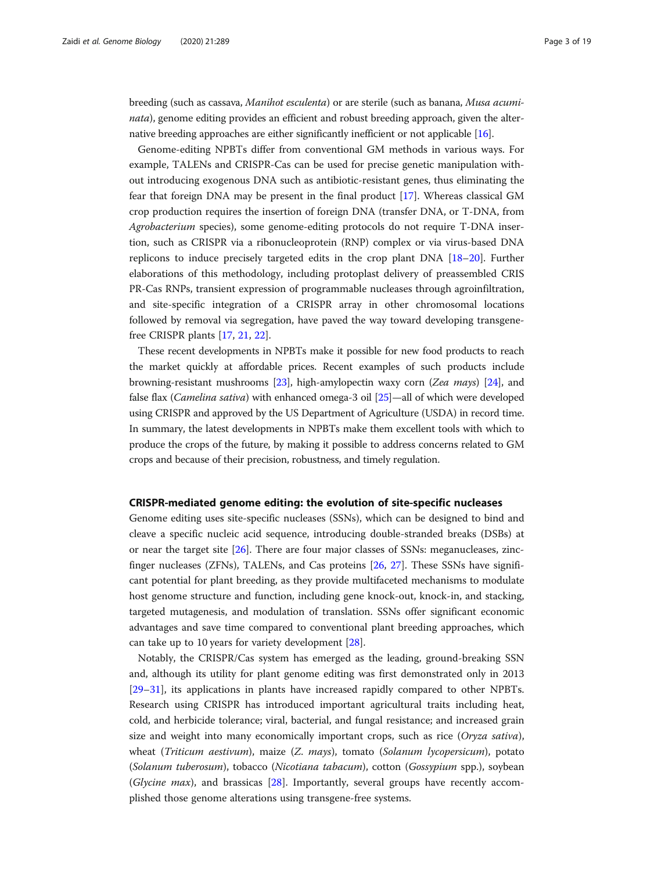breeding (such as cassava, Manihot esculenta) or are sterile (such as banana, Musa acuminata), genome editing provides an efficient and robust breeding approach, given the alternative breeding approaches are either significantly inefficient or not applicable [\[16\]](#page-15-0).

Genome-editing NPBTs differ from conventional GM methods in various ways. For example, TALENs and CRISPR-Cas can be used for precise genetic manipulation without introducing exogenous DNA such as antibiotic-resistant genes, thus eliminating the fear that foreign DNA may be present in the final product [\[17](#page-15-0)]. Whereas classical GM crop production requires the insertion of foreign DNA (transfer DNA, or T-DNA, from Agrobacterium species), some genome-editing protocols do not require T-DNA insertion, such as CRISPR via a ribonucleoprotein (RNP) complex or via virus-based DNA replicons to induce precisely targeted edits in the crop plant DNA [[18](#page-15-0)–[20](#page-15-0)]. Further elaborations of this methodology, including protoplast delivery of preassembled CRIS PR-Cas RNPs, transient expression of programmable nucleases through agroinfiltration, and site-specific integration of a CRISPR array in other chromosomal locations followed by removal via segregation, have paved the way toward developing transgenefree CRISPR plants [\[17,](#page-15-0) [21,](#page-15-0) [22\]](#page-15-0).

These recent developments in NPBTs make it possible for new food products to reach the market quickly at affordable prices. Recent examples of such products include browning-resistant mushrooms [[23](#page-15-0)], high-amylopectin waxy corn (Zea mays) [[24\]](#page-15-0), and false flax (Camelina sativa) with enhanced omega-3 oil [\[25](#page-15-0)]—all of which were developed using CRISPR and approved by the US Department of Agriculture (USDA) in record time. In summary, the latest developments in NPBTs make them excellent tools with which to produce the crops of the future, by making it possible to address concerns related to GM crops and because of their precision, robustness, and timely regulation.

#### CRISPR-mediated genome editing: the evolution of site-specific nucleases

Genome editing uses site-specific nucleases (SSNs), which can be designed to bind and cleave a specific nucleic acid sequence, introducing double-stranded breaks (DSBs) at or near the target site [\[26](#page-15-0)]. There are four major classes of SSNs: meganucleases, zincfinger nucleases (ZFNs), TALENs, and Cas proteins [\[26](#page-15-0), [27\]](#page-15-0). These SSNs have significant potential for plant breeding, as they provide multifaceted mechanisms to modulate host genome structure and function, including gene knock-out, knock-in, and stacking, targeted mutagenesis, and modulation of translation. SSNs offer significant economic advantages and save time compared to conventional plant breeding approaches, which can take up to 10 years for variety development [[28\]](#page-16-0).

Notably, the CRISPR/Cas system has emerged as the leading, ground-breaking SSN and, although its utility for plant genome editing was first demonstrated only in 2013 [[29](#page-16-0)–[31](#page-16-0)], its applications in plants have increased rapidly compared to other NPBTs. Research using CRISPR has introduced important agricultural traits including heat, cold, and herbicide tolerance; viral, bacterial, and fungal resistance; and increased grain size and weight into many economically important crops, such as rice (Oryza sativa), wheat (Triticum aestivum), maize (Z. mays), tomato (Solanum lycopersicum), potato (Solanum tuberosum), tobacco (Nicotiana tabacum), cotton (Gossypium spp.), soybean (Glycine max), and brassicas [\[28\]](#page-16-0). Importantly, several groups have recently accomplished those genome alterations using transgene-free systems.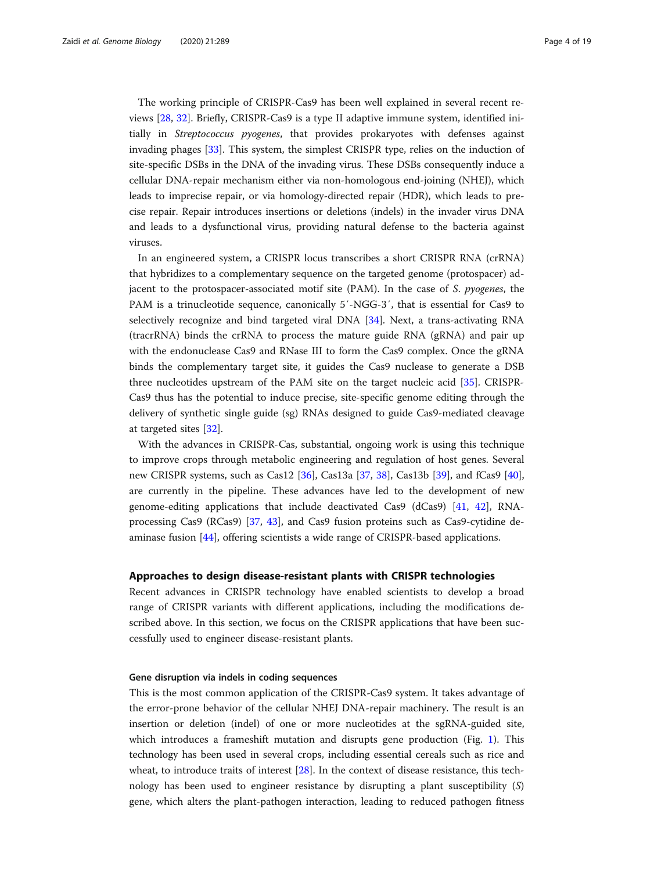The working principle of CRISPR-Cas9 has been well explained in several recent reviews [[28,](#page-16-0) [32\]](#page-16-0). Briefly, CRISPR-Cas9 is a type ΙΙ adaptive immune system, identified initially in Streptococcus pyogenes, that provides prokaryotes with defenses against invading phages [[33](#page-16-0)]. This system, the simplest CRISPR type, relies on the induction of site-specific DSBs in the DNA of the invading virus. These DSBs consequently induce a cellular DNA-repair mechanism either via non-homologous end-joining (NHEJ), which leads to imprecise repair, or via homology-directed repair (HDR), which leads to precise repair. Repair introduces insertions or deletions (indels) in the invader virus DNA and leads to a dysfunctional virus, providing natural defense to the bacteria against viruses.

In an engineered system, a CRISPR locus transcribes a short CRISPR RNA (crRNA) that hybridizes to a complementary sequence on the targeted genome (protospacer) adjacent to the protospacer-associated motif site (PAM). In the case of S. pyogenes, the PAM is a trinucleotide sequence, canonically 5′-NGG-3′, that is essential for Cas9 to selectively recognize and bind targeted viral DNA [[34\]](#page-16-0). Next, a trans-activating RNA (tracrRNA) binds the crRNA to process the mature guide RNA (gRNA) and pair up with the endonuclease Cas9 and RNase III to form the Cas9 complex. Once the gRNA binds the complementary target site, it guides the Cas9 nuclease to generate a DSB three nucleotides upstream of the PAM site on the target nucleic acid [\[35](#page-16-0)]. CRISPR-Cas9 thus has the potential to induce precise, site-specific genome editing through the delivery of synthetic single guide (sg) RNAs designed to guide Cas9-mediated cleavage at targeted sites [\[32\]](#page-16-0).

With the advances in CRISPR-Cas, substantial, ongoing work is using this technique to improve crops through metabolic engineering and regulation of host genes. Several new CRISPR systems, such as Cas12 [\[36\]](#page-16-0), Cas13a [[37,](#page-16-0) [38\]](#page-16-0), Cas13b [\[39\]](#page-16-0), and fCas9 [[40](#page-16-0)], are currently in the pipeline. These advances have led to the development of new genome-editing applications that include deactivated Cas9 (dCas9) [\[41](#page-16-0), [42\]](#page-16-0), RNAprocessing Cas9 (RCas9) [\[37](#page-16-0), [43\]](#page-16-0), and Cas9 fusion proteins such as Cas9-cytidine deaminase fusion [[44\]](#page-16-0), offering scientists a wide range of CRISPR-based applications.

#### Approaches to design disease-resistant plants with CRISPR technologies

Recent advances in CRISPR technology have enabled scientists to develop a broad range of CRISPR variants with different applications, including the modifications described above. In this section, we focus on the CRISPR applications that have been successfully used to engineer disease-resistant plants.

#### Gene disruption via indels in coding sequences

This is the most common application of the CRISPR-Cas9 system. It takes advantage of the error-prone behavior of the cellular NHEJ DNA-repair machinery. The result is an insertion or deletion (indel) of one or more nucleotides at the sgRNA-guided site, which introduces a frameshift mutation and disrupts gene production (Fig. [1](#page-4-0)). This technology has been used in several crops, including essential cereals such as rice and wheat, to introduce traits of interest [[28\]](#page-16-0). In the context of disease resistance, this technology has been used to engineer resistance by disrupting a plant susceptibility  $(S)$ gene, which alters the plant-pathogen interaction, leading to reduced pathogen fitness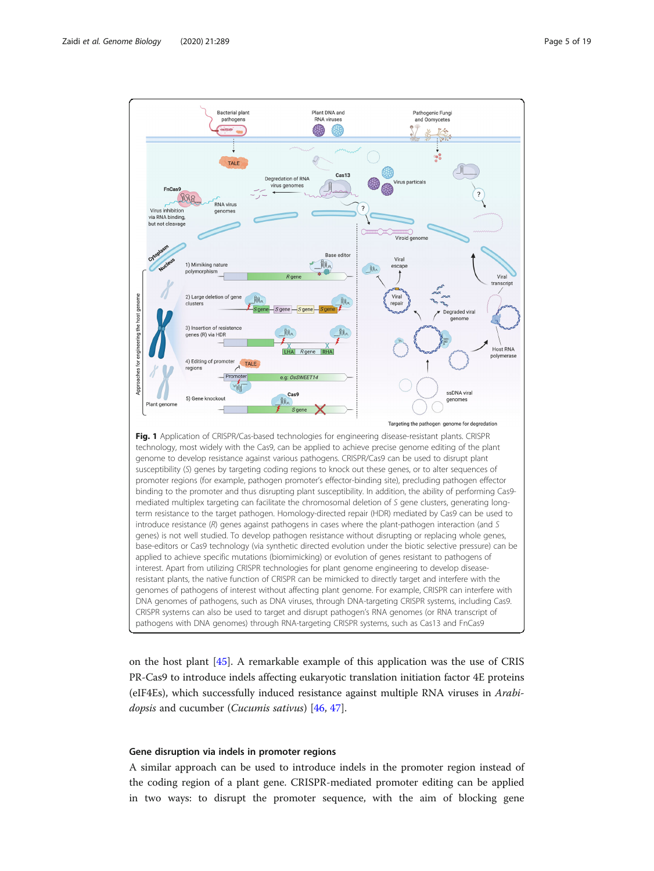<span id="page-4-0"></span>

on the host plant [\[45\]](#page-16-0). A remarkable example of this application was the use of CRIS PR-Cas9 to introduce indels affecting eukaryotic translation initiation factor 4E proteins (eIF4Es), which successfully induced resistance against multiple RNA viruses in Arabidopsis and cucumber (Cucumis sativus) [[46,](#page-16-0) [47\]](#page-16-0).

#### Gene disruption via indels in promoter regions

A similar approach can be used to introduce indels in the promoter region instead of the coding region of a plant gene. CRISPR-mediated promoter editing can be applied in two ways: to disrupt the promoter sequence, with the aim of blocking gene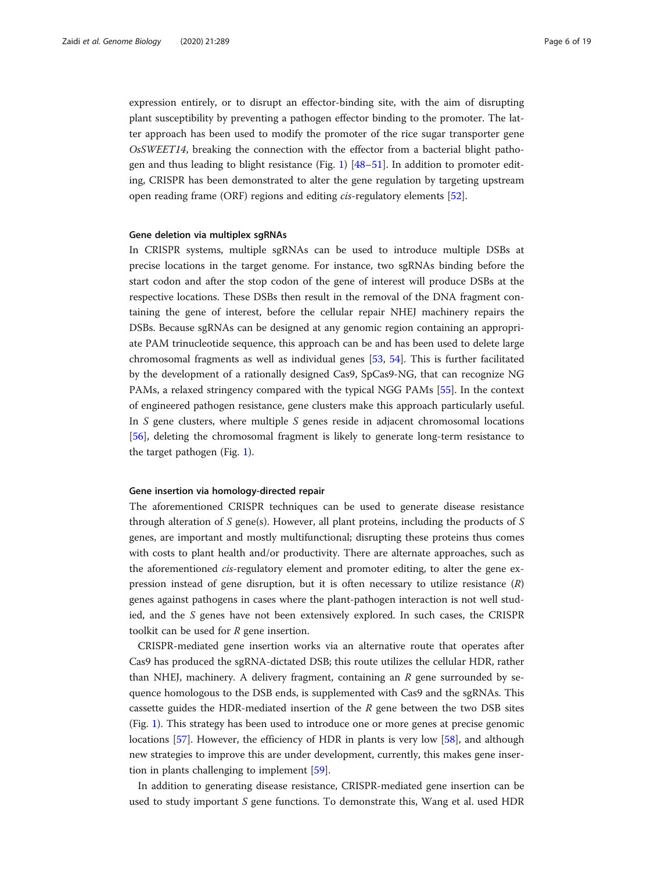expression entirely, or to disrupt an effector-binding site, with the aim of disrupting plant susceptibility by preventing a pathogen effector binding to the promoter. The latter approach has been used to modify the promoter of the rice sugar transporter gene OsSWEET14, breaking the connection with the effector from a bacterial blight pathogen and thus leading to blight resistance (Fig. [1](#page-4-0)) [[48](#page-16-0)–[51](#page-16-0)]. In addition to promoter editing, CRISPR has been demonstrated to alter the gene regulation by targeting upstream open reading frame (ORF) regions and editing cis-regulatory elements [[52](#page-16-0)].

#### Gene deletion via multiplex sgRNAs

In CRISPR systems, multiple sgRNAs can be used to introduce multiple DSBs at precise locations in the target genome. For instance, two sgRNAs binding before the start codon and after the stop codon of the gene of interest will produce DSBs at the respective locations. These DSBs then result in the removal of the DNA fragment containing the gene of interest, before the cellular repair NHEJ machinery repairs the DSBs. Because sgRNAs can be designed at any genomic region containing an appropriate PAM trinucleotide sequence, this approach can be and has been used to delete large chromosomal fragments as well as individual genes [\[53](#page-16-0), [54\]](#page-16-0). This is further facilitated by the development of a rationally designed Cas9, SpCas9-NG, that can recognize NG PAMs, a relaxed stringency compared with the typical NGG PAMs [[55\]](#page-16-0). In the context of engineered pathogen resistance, gene clusters make this approach particularly useful. In  $S$  gene clusters, where multiple  $S$  genes reside in adjacent chromosomal locations [[56\]](#page-16-0), deleting the chromosomal fragment is likely to generate long-term resistance to the target pathogen (Fig. [1](#page-4-0)).

#### Gene insertion via homology-directed repair

The aforementioned CRISPR techniques can be used to generate disease resistance through alteration of S gene(s). However, all plant proteins, including the products of S genes, are important and mostly multifunctional; disrupting these proteins thus comes with costs to plant health and/or productivity. There are alternate approaches, such as the aforementioned cis-regulatory element and promoter editing, to alter the gene expression instead of gene disruption, but it is often necessary to utilize resistance  $(R)$ genes against pathogens in cases where the plant-pathogen interaction is not well studied, and the S genes have not been extensively explored. In such cases, the CRISPR toolkit can be used for  $R$  gene insertion.

CRISPR-mediated gene insertion works via an alternative route that operates after Cas9 has produced the sgRNA-dictated DSB; this route utilizes the cellular HDR, rather than NHEJ, machinery. A delivery fragment, containing an  $R$  gene surrounded by sequence homologous to the DSB ends, is supplemented with Cas9 and the sgRNAs. This cassette guides the HDR-mediated insertion of the  $R$  gene between the two DSB sites (Fig. [1](#page-4-0)). This strategy has been used to introduce one or more genes at precise genomic locations [[57](#page-16-0)]. However, the efficiency of HDR in plants is very low [[58\]](#page-16-0), and although new strategies to improve this are under development, currently, this makes gene insertion in plants challenging to implement [[59\]](#page-16-0).

In addition to generating disease resistance, CRISPR-mediated gene insertion can be used to study important S gene functions. To demonstrate this, Wang et al. used HDR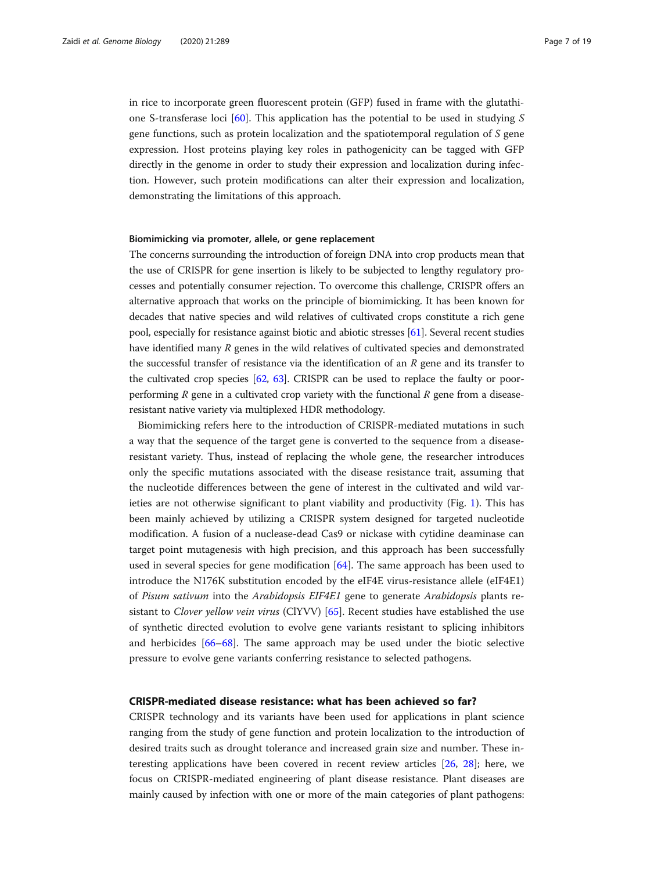in rice to incorporate green fluorescent protein (GFP) fused in frame with the glutathione S-transferase loci  $[60]$  $[60]$  $[60]$ . This application has the potential to be used in studying S gene functions, such as protein localization and the spatiotemporal regulation of S gene expression. Host proteins playing key roles in pathogenicity can be tagged with GFP directly in the genome in order to study their expression and localization during infection. However, such protein modifications can alter their expression and localization, demonstrating the limitations of this approach.

## Biomimicking via promoter, allele, or gene replacement

The concerns surrounding the introduction of foreign DNA into crop products mean that the use of CRISPR for gene insertion is likely to be subjected to lengthy regulatory processes and potentially consumer rejection. To overcome this challenge, CRISPR offers an alternative approach that works on the principle of biomimicking. It has been known for decades that native species and wild relatives of cultivated crops constitute a rich gene pool, especially for resistance against biotic and abiotic stresses [\[61\]](#page-16-0). Several recent studies have identified many R genes in the wild relatives of cultivated species and demonstrated the successful transfer of resistance via the identification of an  $R$  gene and its transfer to the cultivated crop species [\[62,](#page-16-0) [63](#page-16-0)]. CRISPR can be used to replace the faulty or poorperforming  $R$  gene in a cultivated crop variety with the functional  $R$  gene from a diseaseresistant native variety via multiplexed HDR methodology.

Biomimicking refers here to the introduction of CRISPR-mediated mutations in such a way that the sequence of the target gene is converted to the sequence from a diseaseresistant variety. Thus, instead of replacing the whole gene, the researcher introduces only the specific mutations associated with the disease resistance trait, assuming that the nucleotide differences between the gene of interest in the cultivated and wild varieties are not otherwise significant to plant viability and productivity (Fig. [1](#page-4-0)). This has been mainly achieved by utilizing a CRISPR system designed for targeted nucleotide modification. A fusion of a nuclease-dead Cas9 or nickase with cytidine deaminase can target point mutagenesis with high precision, and this approach has been successfully used in several species for gene modification [[64\]](#page-16-0). The same approach has been used to introduce the N176K substitution encoded by the eIF4E virus-resistance allele (eIF4E1) of Pisum sativum into the Arabidopsis EIF4E1 gene to generate Arabidopsis plants resistant to Clover yellow vein virus (ClYVV) [[65\]](#page-16-0). Recent studies have established the use of synthetic directed evolution to evolve gene variants resistant to splicing inhibitors and herbicides [[66](#page-16-0)–[68](#page-16-0)]. The same approach may be used under the biotic selective pressure to evolve gene variants conferring resistance to selected pathogens.

# CRISPR-mediated disease resistance: what has been achieved so far?

CRISPR technology and its variants have been used for applications in plant science ranging from the study of gene function and protein localization to the introduction of desired traits such as drought tolerance and increased grain size and number. These interesting applications have been covered in recent review articles [\[26](#page-15-0), [28\]](#page-16-0); here, we focus on CRISPR-mediated engineering of plant disease resistance. Plant diseases are mainly caused by infection with one or more of the main categories of plant pathogens: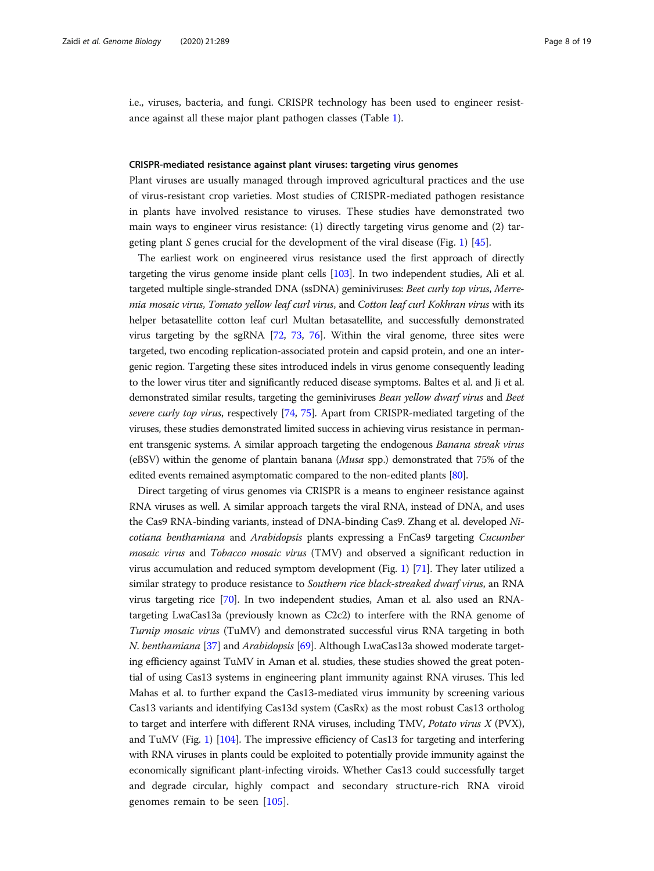<span id="page-7-0"></span>i.e., viruses, bacteria, and fungi. CRISPR technology has been used to engineer resistance against all these major plant pathogen classes (Table [1](#page-8-0)).

#### CRISPR-mediated resistance against plant viruses: targeting virus genomes

Plant viruses are usually managed through improved agricultural practices and the use of virus-resistant crop varieties. Most studies of CRISPR-mediated pathogen resistance in plants have involved resistance to viruses. These studies have demonstrated two main ways to engineer virus resistance: (1) directly targeting virus genome and (2) tar-geting plant S genes crucial for the development of the viral disease (Fig. [1](#page-4-0)) [\[45](#page-16-0)].

The earliest work on engineered virus resistance used the first approach of directly targeting the virus genome inside plant cells [[103](#page-17-0)]. In two independent studies, Ali et al. targeted multiple single-stranded DNA (ssDNA) geminiviruses: Beet curly top virus, Merremia mosaic virus, Tomato yellow leaf curl virus, and Cotton leaf curl Kokhran virus with its helper betasatellite cotton leaf curl Multan betasatellite, and successfully demonstrated virus targeting by the sgRNA [\[72,](#page-17-0) [73,](#page-17-0) [76](#page-17-0)]. Within the viral genome, three sites were targeted, two encoding replication-associated protein and capsid protein, and one an intergenic region. Targeting these sites introduced indels in virus genome consequently leading to the lower virus titer and significantly reduced disease symptoms. Baltes et al. and Ji et al. demonstrated similar results, targeting the geminiviruses Bean yellow dwarf virus and Beet severe curly top virus, respectively [\[74,](#page-17-0) [75\]](#page-17-0). Apart from CRISPR-mediated targeting of the viruses, these studies demonstrated limited success in achieving virus resistance in permanent transgenic systems. A similar approach targeting the endogenous Banana streak virus (eBSV) within the genome of plantain banana (Musa spp.) demonstrated that 75% of the edited events remained asymptomatic compared to the non-edited plants [\[80](#page-17-0)].

Direct targeting of virus genomes via CRISPR is a means to engineer resistance against RNA viruses as well. A similar approach targets the viral RNA, instead of DNA, and uses the Cas9 RNA-binding variants, instead of DNA-binding Cas9. Zhang et al. developed Nicotiana benthamiana and Arabidopsis plants expressing a FnCas9 targeting Cucumber mosaic virus and Tobacco mosaic virus (TMV) and observed a significant reduction in virus accumulation and reduced symptom development (Fig. [1\)](#page-4-0) [\[71\]](#page-17-0). They later utilized a similar strategy to produce resistance to Southern rice black-streaked dwarf virus, an RNA virus targeting rice [\[70\]](#page-16-0). In two independent studies, Aman et al. also used an RNAtargeting LwaCas13a (previously known as C2c2) to interfere with the RNA genome of Turnip mosaic virus (TuMV) and demonstrated successful virus RNA targeting in both N. benthamiana [\[37\]](#page-16-0) and Arabidopsis [\[69\]](#page-16-0). Although LwaCas13a showed moderate targeting efficiency against TuMV in Aman et al. studies, these studies showed the great potential of using Cas13 systems in engineering plant immunity against RNA viruses. This led Mahas et al. to further expand the Cas13-mediated virus immunity by screening various Cas13 variants and identifying Cas13d system (CasRx) as the most robust Cas13 ortholog to target and interfere with different RNA viruses, including TMV, Potato virus  $X$  (PVX), and TuMV (Fig. [1\)](#page-4-0) [\[104\]](#page-17-0). The impressive efficiency of Cas13 for targeting and interfering with RNA viruses in plants could be exploited to potentially provide immunity against the economically significant plant-infecting viroids. Whether Cas13 could successfully target and degrade circular, highly compact and secondary structure-rich RNA viroid genomes remain to be seen [[105\]](#page-17-0).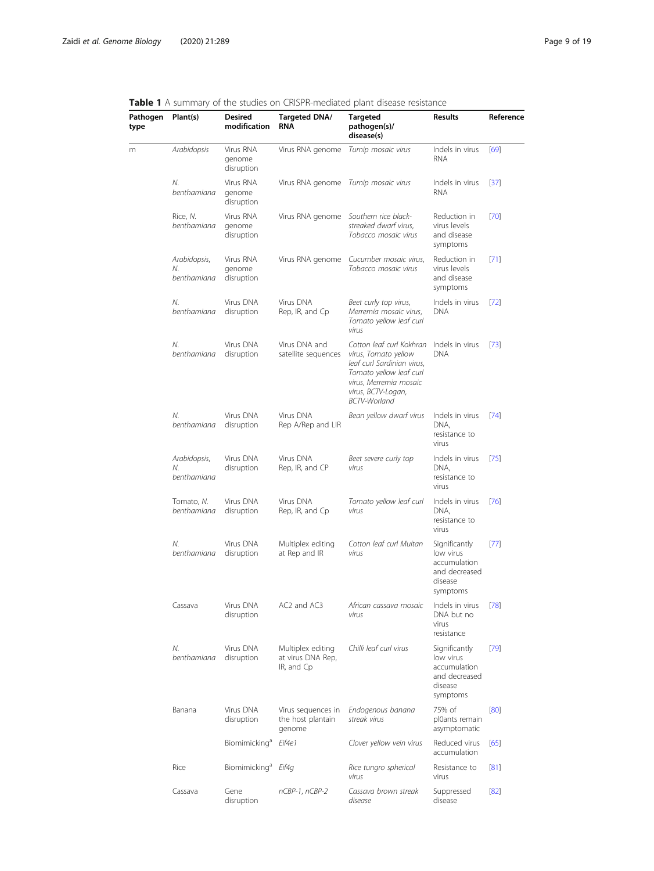| Pathogen                                                                                             | Plant(s)                          | <b>Desired</b><br>modification    | Targeted DNA/<br><b>RNA</b>                          | Targeted<br>pathogen(s)/<br>disease(s)                                                                                                                                                                                                                                                               | Results                                                                                                                                                                                                                                                                                                                                                                                                                                                         | Reference |  |
|------------------------------------------------------------------------------------------------------|-----------------------------------|-----------------------------------|------------------------------------------------------|------------------------------------------------------------------------------------------------------------------------------------------------------------------------------------------------------------------------------------------------------------------------------------------------------|-----------------------------------------------------------------------------------------------------------------------------------------------------------------------------------------------------------------------------------------------------------------------------------------------------------------------------------------------------------------------------------------------------------------------------------------------------------------|-----------|--|
| <b>Table T</b> A suffitually of the studies on Chip h-mediated plant disease resistance<br>type<br>m | Arabidopsis                       | Virus RNA<br>genome<br>disruption | Virus RNA genome                                     | Turnip mosaic virus                                                                                                                                                                                                                                                                                  | Indels in virus<br><b>RNA</b>                                                                                                                                                                                                                                                                                                                                                                                                                                   | [69]      |  |
|                                                                                                      | N.<br>benthamiana                 | Virus RNA<br>genome<br>disruption |                                                      |                                                                                                                                                                                                                                                                                                      | Indels in virus<br><b>RNA</b>                                                                                                                                                                                                                                                                                                                                                                                                                                   | $[37]$    |  |
|                                                                                                      | Rice, N.<br>benthamiana           | Virus RNA<br>genome<br>disruption | Virus RNA genome                                     | Southern rice black-<br>streaked dwarf virus.<br>Tobacco mosaic virus                                                                                                                                                                                                                                | Reduction in<br>virus levels<br>and disease<br>symptoms                                                                                                                                                                                                                                                                                                                                                                                                         | $[70]$    |  |
|                                                                                                      | Arabidopsis,<br>N.<br>benthamiana | Virus RNA<br>genome<br>disruption | Virus RNA genome                                     | Cucumber mosaic virus,<br>Tobacco mosaic virus                                                                                                                                                                                                                                                       | Reduction in<br>virus levels<br>and disease<br>symptoms                                                                                                                                                                                                                                                                                                                                                                                                         | [71]      |  |
|                                                                                                      | N.<br>benthamiana                 | Virus DNA<br>disruption           | Virus DNA<br>Rep, IR, and Cp                         | Beet curly top virus,<br>Merremia mosaic virus,<br>Tomato yellow leaf curl<br>virus                                                                                                                                                                                                                  | Indels in virus<br><b>DNA</b>                                                                                                                                                                                                                                                                                                                                                                                                                                   | $[72]$    |  |
|                                                                                                      | N.<br>benthamiana                 | Virus DNA<br>disruption           | Virus DNA and<br>satellite sequences                 | Cotton leaf curl Kokhran<br>virus, Tomato yellow<br>leaf curl Sardinian virus,<br>Tomato yellow leaf curl<br>virus, Merremia mosaic<br>virus, BCTV-Logan,<br><b>BCTV-Worland</b>                                                                                                                     | Indels in virus<br><b>DNA</b>                                                                                                                                                                                                                                                                                                                                                                                                                                   | $[73]$    |  |
|                                                                                                      | N.<br>benthamiana                 | Virus DNA<br>disruption           | Virus DNA<br>Rep A/Rep and LIR                       | Bean yellow dwarf virus                                                                                                                                                                                                                                                                              | Indels in virus<br>DNA,<br>resistance to<br>virus                                                                                                                                                                                                                                                                                                                                                                                                               | $[74]$    |  |
|                                                                                                      | Arabidopsis,<br>N.<br>benthamiana | Virus DNA<br>disruption           | Virus DNA<br>Rep, IR, and CP                         | Beet severe curly top<br>virus                                                                                                                                                                                                                                                                       | Indels in virus<br>DNA,<br>resistance to<br>virus<br>Indels in virus<br>DNA,<br>resistance to<br>virus<br>Significantly<br>low virus<br>accumulation<br>and decreased<br>disease<br>symptoms<br>Indels in virus<br>DNA but no<br>virus<br>resistance<br>Significantly<br>low virus<br>accumulation<br>and decreased<br>disease<br>symptoms<br>75% of<br>pl0ants remain<br>asymptomatic<br>Reduced virus<br>accumulation<br>Resistance to<br>virus<br>Suppressed | $[75]$    |  |
|                                                                                                      | Tomato, N.<br>benthamiana         | Virus DNA<br>disruption           | Virus DNA<br>Rep, IR, and Cp                         | Virus RNA genome Turnip mosaic virus<br>Tomato yellow leaf curl<br>virus<br>Cotton leaf curl Multan<br>virus<br>African cassava mosaic<br>virus<br>Chilli leaf curl virus<br>Endogenous banana<br>streak virus<br>Clover yellow vein virus<br>Rice tungro spherical<br>virus<br>Cassava brown streak |                                                                                                                                                                                                                                                                                                                                                                                                                                                                 | $[76]$    |  |
|                                                                                                      | N.<br>benthamiana                 | Virus DNA<br>disruption           | Multiplex editing<br>at Rep and IR                   |                                                                                                                                                                                                                                                                                                      |                                                                                                                                                                                                                                                                                                                                                                                                                                                                 | [77]      |  |
|                                                                                                      | Cassava                           | Virus DNA<br>disruption           | AC2 and AC3                                          |                                                                                                                                                                                                                                                                                                      |                                                                                                                                                                                                                                                                                                                                                                                                                                                                 | $[78]$    |  |
|                                                                                                      | N.<br>benthamiana                 | Virus DNA<br>disruption           | Multiplex editing<br>at virus DNA Rep,<br>IR, and Cp |                                                                                                                                                                                                                                                                                                      |                                                                                                                                                                                                                                                                                                                                                                                                                                                                 | $[79]$    |  |
|                                                                                                      | Banana                            | Virus DNA<br>disruption           | Virus sequences in<br>the host plantain<br>genome    |                                                                                                                                                                                                                                                                                                      |                                                                                                                                                                                                                                                                                                                                                                                                                                                                 | [80]      |  |
|                                                                                                      |                                   | Biomimicking <sup>a</sup>         | Eif4e1                                               |                                                                                                                                                                                                                                                                                                      |                                                                                                                                                                                                                                                                                                                                                                                                                                                                 | [65]      |  |
|                                                                                                      | Rice                              | Biomimicking <sup>a</sup>         | Eif4q                                                |                                                                                                                                                                                                                                                                                                      |                                                                                                                                                                                                                                                                                                                                                                                                                                                                 | [81]      |  |
|                                                                                                      | Cassava                           | Gene                              | nCBP-1, nCBP-2                                       |                                                                                                                                                                                                                                                                                                      |                                                                                                                                                                                                                                                                                                                                                                                                                                                                 | [82]      |  |

disease

disease

disruption

#### <span id="page-8-0"></span>**Table 1** A summary of the studies on CRISPR-mediated plant disease resistance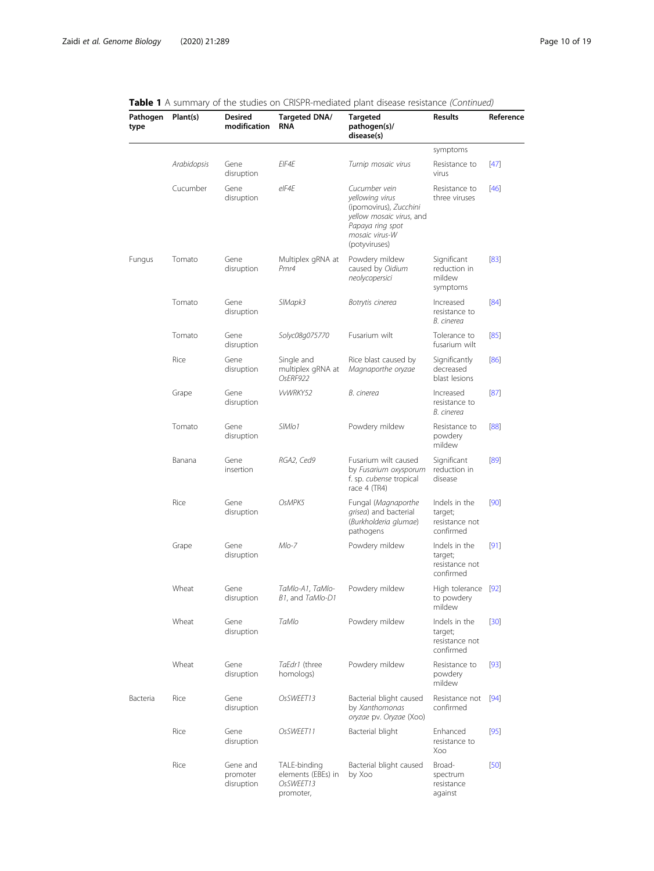#### Pathogen type Plant(s) Desired modification Targeted DNA/ RNA Targeted pathogen(s)/ disease(s) Results Reference symptoms Arabidopsis Gene disruption EIF4E Turnip mosaic virus Resistance to virus [\[47\]](#page-16-0) Cucumber Gene disruption eIF4E Cucumber vein yellowing virus (ipomovirus), Zucchini yellow mosaic virus, and Papaya ring spot mosaic virus-W (potyviruses) Resistance to three viruses [\[46\]](#page-16-0) Fungus Tomato Gene disruption Multiplex gRNA at Pmr4 Powdery mildew caused by Oidium neolycopersici Significant reduction in mildew symptoms [\[83\]](#page-17-0) Tomato Gene disruption SIMapk3 Botrytis cinerea Increased resistance to B. cinerea [\[84\]](#page-17-0) Tomato Gene disruption Solyc08g075770 Fusarium wilt Tolerance to fusarium wilt [\[85\]](#page-17-0) Rice Gene disruption Single and multiplex gRNA at OsERF922 Rice blast caused by Magnaporthe oryzae Significantly decreased blast lesions [\[86\]](#page-17-0) Grape Gene disruption VvWRKY52 B. cinerea Increased resistance to B. cinerea [\[87\]](#page-17-0) Tomato Gene disruption SIMIo1 Powdery mildew Resistance to powdery mildew [\[88\]](#page-17-0) Banana Gene insertion RGA2, Ced9 Fusarium wilt caused by Fusarium oxysporum f. sp. cubense tropical race 4 (TR4) Significant reduction in disease [\[89\]](#page-17-0) Rice Gene disruption OsMPK5 Fungal (Magnaporthe grisea) and bacterial (Burkholderia glumae) pathogens Indels in the target; resistance not confirmed [\[90\]](#page-17-0) Grape Gene disruption Mlo-7 Powdery mildew Indels in the target; resistance not confirmed [\[91\]](#page-17-0) Wheat Gene disruption TaMlo-A1, TaMlo-B1, and TaMlo-D1 Powdery mildew to powdery mildew High tolerance [\[92\]](#page-17-0) Wheat Gene disruption TaMlo Powdery mildew Indels in the target; resistance not confirmed [\[30\]](#page-16-0) Wheat Gene disruption TaEdr1 (three homologs) Powdery mildew Resistance to powdery mildew [\[93\]](#page-17-0) Bacteria Rice Gene disruption OsSWEET13 Bacterial blight caused by Xanthomonas oryzae pv. Oryzae (Xoo) Resistance not [\[94\]](#page-17-0) confirmed Rice Gene disruption OsSWEET11 Bacterial blight Enhanced resistance to Xoo [\[95\]](#page-17-0) Rice Gene and promoter TALE-binding elements (EBEs) in Bacterial blight caused by Xoo Broadspectrum [\[50\]](#page-16-0)

disruption

OsSWEET13 promoter,

resistance against

#### Table 1 A summary of the studies on CRISPR-mediated plant disease resistance (Continued)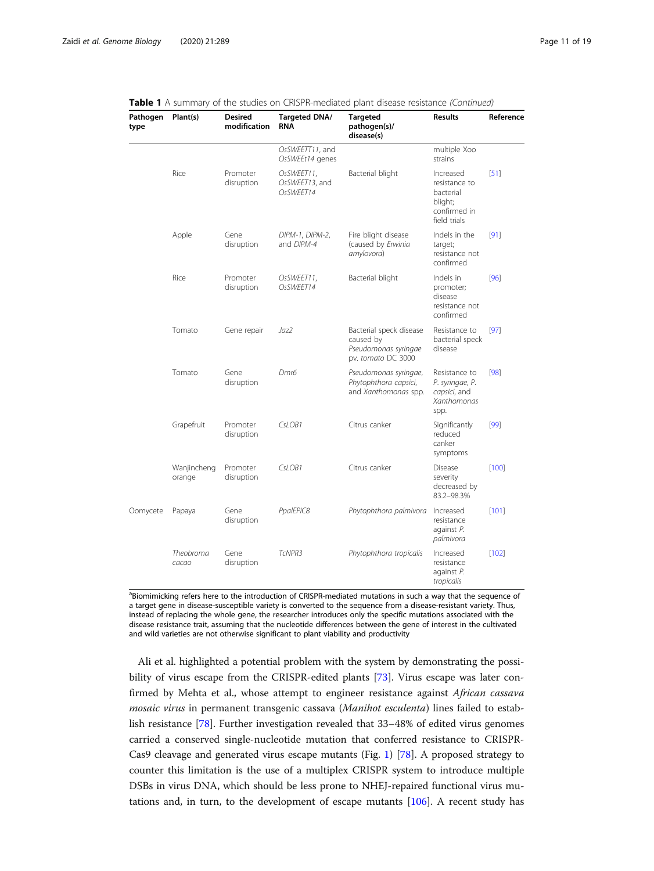| Pathogen<br>type | Plant(s)              | <b>Desired</b><br>modification | Targeted DNA/<br><b>RNA</b>               | <b>Targeted</b><br>pathogen(s)/<br>disease(s)                                      | <b>Results</b>                                                                     | Reference |  |
|------------------|-----------------------|--------------------------------|-------------------------------------------|------------------------------------------------------------------------------------|------------------------------------------------------------------------------------|-----------|--|
|                  |                       |                                | OsSWEETT11, and<br>OsSWEEt14 genes        |                                                                                    | multiple Xoo<br>strains                                                            |           |  |
|                  | Rice                  | Promoter<br>disruption         | OsSWEET11,<br>OsSWEET13, and<br>OsSWEET14 | Bacterial blight                                                                   | Increased<br>resistance to<br>bacterial<br>blight;<br>confirmed in<br>field trials | [51]      |  |
|                  | Apple                 | Gene<br>disruption             | DIPM-1, DIPM-2,<br>and DIPM-4             | Fire blight disease<br>(caused by Erwinia<br>amylovora)                            | Indels in the<br>target;<br>resistance not<br>confirmed                            | [91]      |  |
|                  | Rice                  | Promoter<br>disruption         | OsSWEET11,<br>OsSWEET14                   | Bacterial blight                                                                   | Indels in<br>promoter;<br>disease<br>resistance not<br>confirmed                   | [96]      |  |
|                  | Tomato                | Gene repair                    | Jaz2                                      | Bacterial speck disease<br>caused by<br>Pseudomonas syringae<br>pv. tomato DC 3000 | Resistance to<br>bacterial speck<br>disease                                        | [97]      |  |
|                  | Tomato                | Gene<br>disruption             | Dmr <sub>6</sub>                          | Pseudomonas syringae,<br>Phytophthora capsici,<br>and Xanthomonas spp.             | Resistance to<br>P. syringae, P.<br>capsici, and<br>Xanthomonas<br>spp.            | [98]      |  |
|                  | Grapefruit            | Promoter<br>disruption         | CsLOB1                                    | Citrus canker                                                                      | Significantly<br>reduced<br>canker<br>symptoms                                     | [99]      |  |
|                  | Wanjincheng<br>orange | Promoter<br>disruption         | CsLOB1                                    | Citrus canker                                                                      | Disease<br>severity<br>decreased by<br>83.2-98.3%                                  | [100]     |  |
| Oomycete         | Papaya                | Gene<br>disruption             | PpalEPIC8                                 | Phytophthora palmivora                                                             | Increased<br>resistance<br>against P.<br>palmivora                                 | [101]     |  |
|                  | Theobroma<br>cacao    | Gene<br>disruption             | TcNPR3                                    | Phytophthora tropicalis                                                            | Increased<br>resistance<br>against P.<br>tropicalis                                | [102]     |  |

|  |  | <b>Table 1</b> A summary of the studies on CRISPR-mediated plant disease resistance <i>(Continued)</i> |  |  |  |  |  |  |  |  |  |  |  |
|--|--|--------------------------------------------------------------------------------------------------------|--|--|--|--|--|--|--|--|--|--|--|
|--|--|--------------------------------------------------------------------------------------------------------|--|--|--|--|--|--|--|--|--|--|--|

<sup>a</sup>Biomimicking refers here to the introduction of CRISPR-mediated mutations in such a way that the sequence of a target gene in disease-susceptible variety is converted to the sequence from a disease-resistant variety. Thus, instead of replacing the whole gene, the researcher introduces only the specific mutations associated with the disease resistance trait, assuming that the nucleotide differences between the gene of interest in the cultivated and wild varieties are not otherwise significant to plant viability and productivity

Ali et al. highlighted a potential problem with the system by demonstrating the possibility of virus escape from the CRISPR-edited plants [[73](#page-17-0)]. Virus escape was later confirmed by Mehta et al., whose attempt to engineer resistance against African cassava mosaic virus in permanent transgenic cassava (Manihot esculenta) lines failed to establish resistance [\[78](#page-17-0)]. Further investigation revealed that 33–48% of edited virus genomes carried a conserved single-nucleotide mutation that conferred resistance to CRISPR-Cas9 cleavage and generated virus escape mutants (Fig. [1\)](#page-4-0) [[78](#page-17-0)]. A proposed strategy to counter this limitation is the use of a multiplex CRISPR system to introduce multiple DSBs in virus DNA, which should be less prone to NHEJ-repaired functional virus mutations and, in turn, to the development of escape mutants [\[106\]](#page-17-0). A recent study has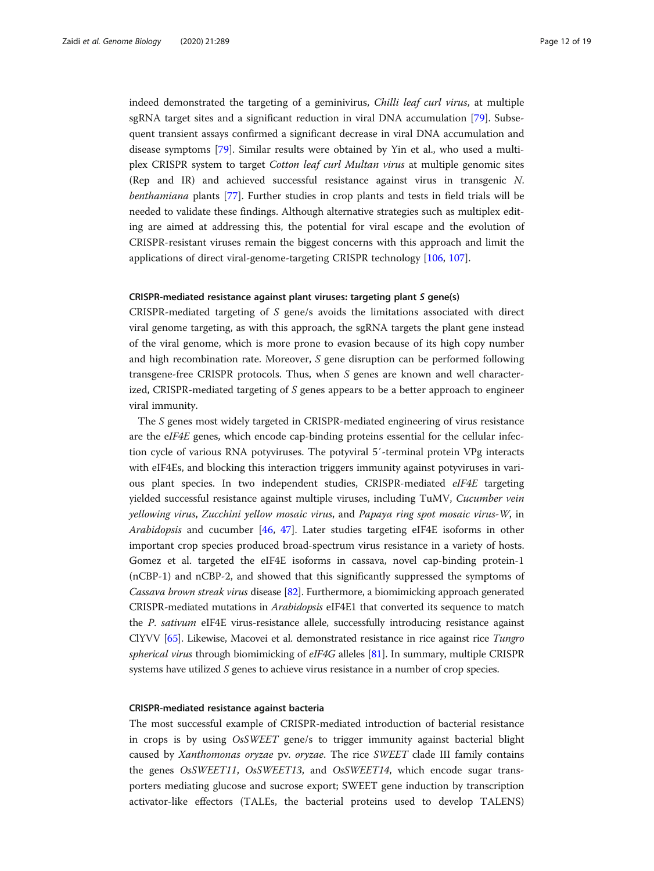indeed demonstrated the targeting of a geminivirus, *Chilli leaf curl virus*, at multiple sgRNA target sites and a significant reduction in viral DNA accumulation [[79\]](#page-17-0). Subsequent transient assays confirmed a significant decrease in viral DNA accumulation and disease symptoms [[79\]](#page-17-0). Similar results were obtained by Yin et al., who used a multiplex CRISPR system to target Cotton leaf curl Multan virus at multiple genomic sites (Rep and IR) and achieved successful resistance against virus in transgenic N. benthamiana plants [[77\]](#page-17-0). Further studies in crop plants and tests in field trials will be needed to validate these findings. Although alternative strategies such as multiplex editing are aimed at addressing this, the potential for viral escape and the evolution of CRISPR-resistant viruses remain the biggest concerns with this approach and limit the applications of direct viral-genome-targeting CRISPR technology [[106,](#page-17-0) [107](#page-17-0)].

## CRISPR-mediated resistance against plant viruses: targeting plant S gene(s)

CRISPR-mediated targeting of S gene/s avoids the limitations associated with direct viral genome targeting, as with this approach, the sgRNA targets the plant gene instead of the viral genome, which is more prone to evasion because of its high copy number and high recombination rate. Moreover, S gene disruption can be performed following transgene-free CRISPR protocols. Thus, when S genes are known and well characterized, CRISPR-mediated targeting of S genes appears to be a better approach to engineer viral immunity.

The S genes most widely targeted in CRISPR-mediated engineering of virus resistance are the eIF4E genes, which encode cap-binding proteins essential for the cellular infection cycle of various RNA potyviruses. The potyviral 5′-terminal protein VPg interacts with eIF4Es, and blocking this interaction triggers immunity against potyviruses in various plant species. In two independent studies, CRISPR-mediated eIF4E targeting yielded successful resistance against multiple viruses, including TuMV, Cucumber vein yellowing virus, Zucchini yellow mosaic virus, and Papaya ring spot mosaic virus-W, in Arabidopsis and cucumber [[46,](#page-16-0) [47](#page-16-0)]. Later studies targeting eIF4E isoforms in other important crop species produced broad-spectrum virus resistance in a variety of hosts. Gomez et al. targeted the eIF4E isoforms in cassava, novel cap-binding protein-1 (nCBP-1) and nCBP-2, and showed that this significantly suppressed the symptoms of Cassava brown streak virus disease [[82](#page-17-0)]. Furthermore, a biomimicking approach generated CRISPR-mediated mutations in Arabidopsis eIF4E1 that converted its sequence to match the *P. sativum* eIF4E virus-resistance allele, successfully introducing resistance against ClYVV [\[65](#page-16-0)]. Likewise, Macovei et al. demonstrated resistance in rice against rice Tungro spherical virus through biomimicking of eIF4G alleles [\[81\]](#page-17-0). In summary, multiple CRISPR systems have utilized S genes to achieve virus resistance in a number of crop species.

#### CRISPR-mediated resistance against bacteria

The most successful example of CRISPR-mediated introduction of bacterial resistance in crops is by using OsSWEET gene/s to trigger immunity against bacterial blight caused by Xanthomonas oryzae pv. oryzae. The rice SWEET clade III family contains the genes OsSWEET11, OsSWEET13, and OsSWEET14, which encode sugar transporters mediating glucose and sucrose export; SWEET gene induction by transcription activator-like effectors (TALEs, the bacterial proteins used to develop TALENS)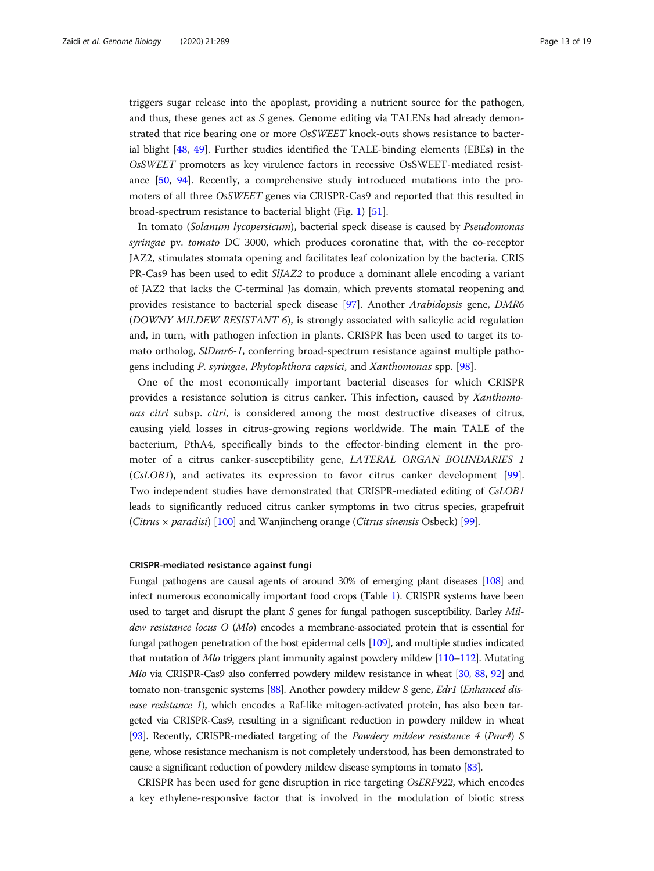triggers sugar release into the apoplast, providing a nutrient source for the pathogen, and thus, these genes act as  $S$  genes. Genome editing via TALENs had already demonstrated that rice bearing one or more OsSWEET knock-outs shows resistance to bacterial blight [[48,](#page-16-0) [49](#page-16-0)]. Further studies identified the TALE-binding elements (EBEs) in the OsSWEET promoters as key virulence factors in recessive OsSWEET-mediated resistance [\[50](#page-16-0), [94](#page-17-0)]. Recently, a comprehensive study introduced mutations into the promoters of all three OsSWEET genes via CRISPR-Cas9 and reported that this resulted in broad-spectrum resistance to bacterial blight (Fig. [1](#page-4-0)) [[51\]](#page-16-0).

In tomato (Solanum lycopersicum), bacterial speck disease is caused by Pseudomonas syringae pv. tomato DC 3000, which produces coronatine that, with the co-receptor JAZ2, stimulates stomata opening and facilitates leaf colonization by the bacteria. CRIS PR-Cas9 has been used to edit SlJAZ2 to produce a dominant allele encoding a variant of JAZ2 that lacks the C-terminal Jas domain, which prevents stomatal reopening and provides resistance to bacterial speck disease [\[97](#page-17-0)]. Another Arabidopsis gene, DMR6 (DOWNY MILDEW RESISTANT 6), is strongly associated with salicylic acid regulation and, in turn, with pathogen infection in plants. CRISPR has been used to target its tomato ortholog, SlDmr6-1, conferring broad-spectrum resistance against multiple pathogens including P. syringae, Phytophthora capsici, and Xanthomonas spp. [[98\]](#page-17-0).

One of the most economically important bacterial diseases for which CRISPR provides a resistance solution is citrus canker. This infection, caused by Xanthomonas citri subsp. citri, is considered among the most destructive diseases of citrus, causing yield losses in citrus-growing regions worldwide. The main TALE of the bacterium, PthA4, specifically binds to the effector-binding element in the promoter of a citrus canker-susceptibility gene, LATERAL ORGAN BOUNDARIES 1 (CsLOB1), and activates its expression to favor citrus canker development [\[99](#page-17-0)]. Two independent studies have demonstrated that CRISPR-mediated editing of CsLOB1 leads to significantly reduced citrus canker symptoms in two citrus species, grapefruit (Citrus  $\times$  paradisi) [[100](#page-17-0)] and Wanjincheng orange (Citrus sinensis Osbeck) [[99](#page-17-0)].

#### CRISPR-mediated resistance against fungi

Fungal pathogens are causal agents of around 30% of emerging plant diseases [[108\]](#page-17-0) and infect numerous economically important food crops (Table [1](#page-8-0)). CRISPR systems have been used to target and disrupt the plant  $S$  genes for fungal pathogen susceptibility. Barley Mildew resistance locus O (Mlo) encodes a membrane-associated protein that is essential for fungal pathogen penetration of the host epidermal cells [[109\]](#page-17-0), and multiple studies indicated that mutation of Mlo triggers plant immunity against powdery mildew [\[110](#page-18-0)–[112](#page-18-0)]. Mutating Mlo via CRISPR-Cas9 also conferred powdery mildew resistance in wheat [[30](#page-16-0), [88,](#page-17-0) [92\]](#page-17-0) and tomato non-transgenic systems [\[88\]](#page-17-0). Another powdery mildew S gene, Edr1 (Enhanced disease resistance 1), which encodes a Raf-like mitogen-activated protein, has also been targeted via CRISPR-Cas9, resulting in a significant reduction in powdery mildew in wheat [[93](#page-17-0)]. Recently, CRISPR-mediated targeting of the Powdery mildew resistance 4 (Pmr4) S gene, whose resistance mechanism is not completely understood, has been demonstrated to cause a significant reduction of powdery mildew disease symptoms in tomato [\[83\]](#page-17-0).

CRISPR has been used for gene disruption in rice targeting OsERF922, which encodes a key ethylene-responsive factor that is involved in the modulation of biotic stress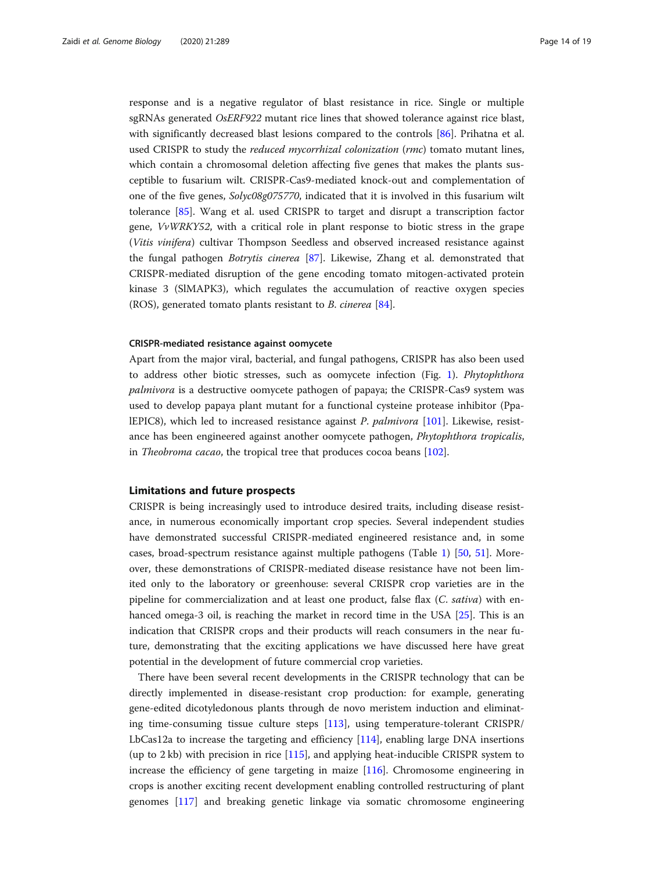response and is a negative regulator of blast resistance in rice. Single or multiple sgRNAs generated OsERF922 mutant rice lines that showed tolerance against rice blast, with significantly decreased blast lesions compared to the controls [[86\]](#page-17-0). Prihatna et al. used CRISPR to study the *reduced mycorrhizal colonization* (*rmc*) tomato mutant lines, which contain a chromosomal deletion affecting five genes that makes the plants susceptible to fusarium wilt. CRISPR-Cas9-mediated knock-out and complementation of one of the five genes, Solyc08g075770, indicated that it is involved in this fusarium wilt tolerance [[85](#page-17-0)]. Wang et al. used CRISPR to target and disrupt a transcription factor gene, VvWRKY52, with a critical role in plant response to biotic stress in the grape (Vitis vinifera) cultivar Thompson Seedless and observed increased resistance against the fungal pathogen Botrytis cinerea [\[87](#page-17-0)]. Likewise, Zhang et al. demonstrated that CRISPR-mediated disruption of the gene encoding tomato mitogen-activated protein kinase 3 (SlMAPK3), which regulates the accumulation of reactive oxygen species (ROS), generated tomato plants resistant to B. cinerea [[84\]](#page-17-0).

#### CRISPR-mediated resistance against oomycete

Apart from the major viral, bacterial, and fungal pathogens, CRISPR has also been used to address other biotic stresses, such as oomycete infection (Fig. [1\)](#page-4-0). Phytophthora palmivora is a destructive oomycete pathogen of papaya; the CRISPR-Cas9 system was used to develop papaya plant mutant for a functional cysteine protease inhibitor (PpalEPIC8), which led to increased resistance against P. palmivora [\[101\]](#page-17-0). Likewise, resistance has been engineered against another oomycete pathogen, Phytophthora tropicalis, in Theobroma cacao, the tropical tree that produces cocoa beans [\[102\]](#page-17-0).

## Limitations and future prospects

CRISPR is being increasingly used to introduce desired traits, including disease resistance, in numerous economically important crop species. Several independent studies have demonstrated successful CRISPR-mediated engineered resistance and, in some cases, broad-spectrum resistance against multiple pathogens (Table [1](#page-8-0)) [\[50,](#page-16-0) [51\]](#page-16-0). Moreover, these demonstrations of CRISPR-mediated disease resistance have not been limited only to the laboratory or greenhouse: several CRISPR crop varieties are in the pipeline for commercialization and at least one product, false flax (C. sativa) with enhanced omega-3 oil, is reaching the market in record time in the USA [[25\]](#page-15-0). This is an indication that CRISPR crops and their products will reach consumers in the near future, demonstrating that the exciting applications we have discussed here have great potential in the development of future commercial crop varieties.

There have been several recent developments in the CRISPR technology that can be directly implemented in disease-resistant crop production: for example, generating gene-edited dicotyledonous plants through de novo meristem induction and eliminating time-consuming tissue culture steps [[113](#page-18-0)], using temperature-tolerant CRISPR/ LbCas12a to increase the targeting and efficiency [\[114\]](#page-18-0), enabling large DNA insertions (up to 2 kb) with precision in rice [[115](#page-18-0)], and applying heat-inducible CRISPR system to increase the efficiency of gene targeting in maize [[116](#page-18-0)]. Chromosome engineering in crops is another exciting recent development enabling controlled restructuring of plant genomes [\[117](#page-18-0)] and breaking genetic linkage via somatic chromosome engineering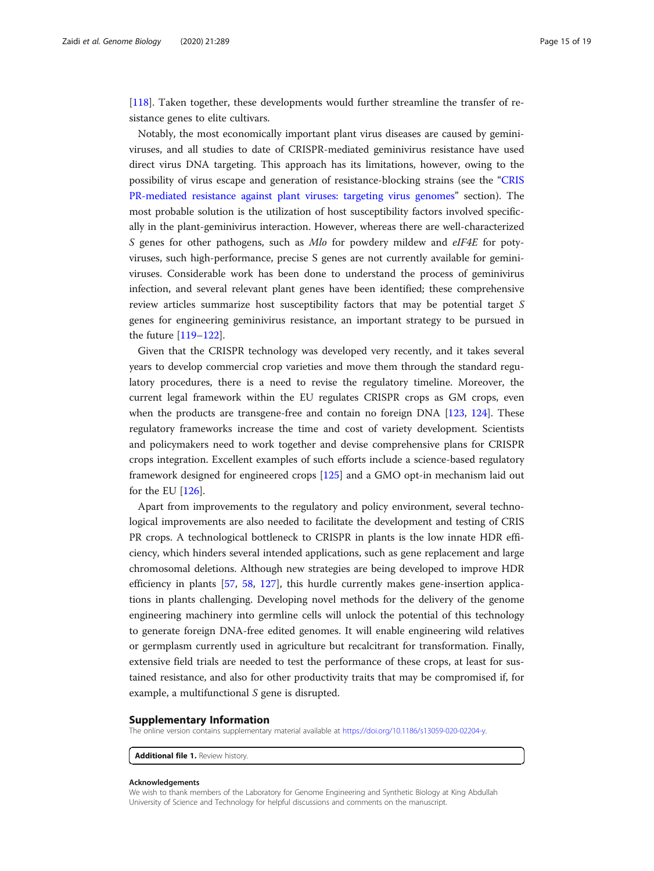<span id="page-14-0"></span>[[118\]](#page-18-0). Taken together, these developments would further streamline the transfer of resistance genes to elite cultivars.

Notably, the most economically important plant virus diseases are caused by geminiviruses, and all studies to date of CRISPR-mediated geminivirus resistance have used direct virus DNA targeting. This approach has its limitations, however, owing to the possibility of virus escape and generation of resistance-blocking strains (see the "[CRIS](#page-7-0) [PR-mediated resistance against plant viruses: targeting virus genomes](#page-7-0)" section). The most probable solution is the utilization of host susceptibility factors involved specifically in the plant-geminivirus interaction. However, whereas there are well-characterized S genes for other pathogens, such as *Mlo* for powdery mildew and eIF4E for potyviruses, such high-performance, precise S genes are not currently available for geminiviruses. Considerable work has been done to understand the process of geminivirus infection, and several relevant plant genes have been identified; these comprehensive review articles summarize host susceptibility factors that may be potential target S genes for engineering geminivirus resistance, an important strategy to be pursued in the future [\[119](#page-18-0)–[122\]](#page-18-0).

Given that the CRISPR technology was developed very recently, and it takes several years to develop commercial crop varieties and move them through the standard regulatory procedures, there is a need to revise the regulatory timeline. Moreover, the current legal framework within the EU regulates CRISPR crops as GM crops, even when the products are transgene-free and contain no foreign DNA [\[123](#page-18-0), [124\]](#page-18-0). These regulatory frameworks increase the time and cost of variety development. Scientists and policymakers need to work together and devise comprehensive plans for CRISPR crops integration. Excellent examples of such efforts include a science-based regulatory framework designed for engineered crops [[125](#page-18-0)] and a GMO opt-in mechanism laid out for the EU [[126\]](#page-18-0).

Apart from improvements to the regulatory and policy environment, several technological improvements are also needed to facilitate the development and testing of CRIS PR crops. A technological bottleneck to CRISPR in plants is the low innate HDR efficiency, which hinders several intended applications, such as gene replacement and large chromosomal deletions. Although new strategies are being developed to improve HDR efficiency in plants [\[57](#page-16-0), [58,](#page-16-0) [127\]](#page-18-0), this hurdle currently makes gene-insertion applications in plants challenging. Developing novel methods for the delivery of the genome engineering machinery into germline cells will unlock the potential of this technology to generate foreign DNA-free edited genomes. It will enable engineering wild relatives or germplasm currently used in agriculture but recalcitrant for transformation. Finally, extensive field trials are needed to test the performance of these crops, at least for sustained resistance, and also for other productivity traits that may be compromised if, for example, a multifunctional S gene is disrupted.

#### Supplementary Information

The online version contains supplementary material available at <https://doi.org/10.1186/s13059-020-02204-y>.

Additional file 1. Review history.

#### Acknowledgements

We wish to thank members of the Laboratory for Genome Engineering and Synthetic Biology at King Abdullah University of Science and Technology for helpful discussions and comments on the manuscript.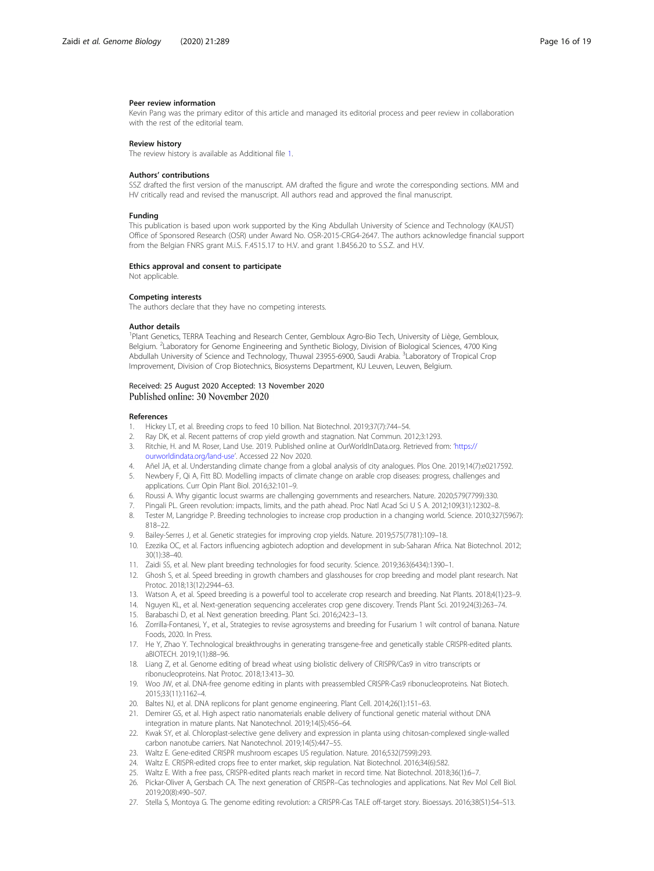#### <span id="page-15-0"></span>Peer review information

Kevin Pang was the primary editor of this article and managed its editorial process and peer review in collaboration with the rest of the editorial team.

#### Review history

The review history is available as Additional file [1.](#page-14-0)

#### Authors' contributions

SSZ drafted the first version of the manuscript. AM drafted the figure and wrote the corresponding sections. MM and HV critically read and revised the manuscript. All authors read and approved the final manuscript.

#### Funding

This publication is based upon work supported by the King Abdullah University of Science and Technology (KAUST) Office of Sponsored Research (OSR) under Award No. OSR-2015-CRG4-2647. The authors acknowledge financial support from the Belgian FNRS grant M.i.S. F.4515.17 to H.V. and grant 1.B456.20 to S.S.Z. and H.V.

#### Ethics approval and consent to participate

Not applicable.

#### Competing interests

The authors declare that they have no competing interests.

#### Author details

<sup>1</sup>Plant Genetics, TERRA Teaching and Research Center, Gembloux Agro-Bio Tech, University of Liège, Gembloux Belgium. <sup>2</sup>Laboratory for Genome Engineering and Synthetic Biology, Division of Biological Sciences, 4700 King Abdullah University of Science and Technology, Thuwal 23955-6900, Saudi Arabia. <sup>3</sup>Laboratory of Tropical Crop Improvement, Division of Crop Biotechnics, Biosystems Department, KU Leuven, Leuven, Belgium.

#### Received: 25 August 2020 Accepted: 13 November 2020 Published online: 30 November 2020

#### References

- 1. Hickey LT, et al. Breeding crops to feed 10 billion. Nat Biotechnol. 2019;37(7):744–54.
- 2. Ray DK, et al. Recent patterns of crop yield growth and stagnation. Nat Commun. 2012;3:1293.
- 3. Ritchie, H. and M. Roser, Land Use. 2019. Published online at OurWorldInData.org. Retrieved from: '[https://](https://ourworldindata.org/land-use) [ourworldindata.org/land-use](https://ourworldindata.org/land-use)'. Accessed 22 Nov 2020.
- 4. Añel JA, et al. Understanding climate change from a global analysis of city analogues. Plos One. 2019;14(7):e0217592. 5. Newbery F, Qi A, Fitt BD. Modelling impacts of climate change on arable crop diseases: progress, challenges and
- applications. Curr Opin Plant Biol. 2016;32:101–9.
- 6. Roussi A. Why gigantic locust swarms are challenging governments and researchers. Nature. 2020;579(7799):330.
- 7. Pingali PL. Green revolution: impacts, limits, and the path ahead. Proc Natl Acad Sci U S A. 2012;109(31):12302–8. 8. Tester M, Langridge P. Breeding technologies to increase crop production in a changing world. Science. 2010;327(5967): 818–22.
- 9. Bailey-Serres J, et al. Genetic strategies for improving crop yields. Nature. 2019;575(7781):109–18.
- 10. Ezezika OC, et al. Factors influencing agbiotech adoption and development in sub-Saharan Africa. Nat Biotechnol. 2012; 30(1):38–40.
- 11. Zaidi SS, et al. New plant breeding technologies for food security. Science. 2019;363(6434):1390–1.
- 12. Ghosh S, et al. Speed breeding in growth chambers and glasshouses for crop breeding and model plant research. Nat Protoc. 2018;13(12):2944–63.
- 13. Watson A, et al. Speed breeding is a powerful tool to accelerate crop research and breeding. Nat Plants. 2018;4(1):23–9.
- 14. Nguyen KL, et al. Next-generation sequencing accelerates crop gene discovery. Trends Plant Sci. 2019;24(3):263–74.
- 15. Barabaschi D, et al. Next generation breeding. Plant Sci. 2016;242:3–13.
- 16. Zorrilla-Fontanesi, Y., et al., Strategies to revise agrosystems and breeding for Fusarium 1 wilt control of banana. Nature Foods, 2020. In Press.
- 17. He Y, Zhao Y. Technological breakthroughs in generating transgene-free and genetically stable CRISPR-edited plants. aBIOTECH. 2019;1(1):88–96.
- 18. Liang Z, et al. Genome editing of bread wheat using biolistic delivery of CRISPR/Cas9 in vitro transcripts or ribonucleoproteins. Nat Protoc. 2018;13:413–30.
- 19. Woo JW, et al. DNA-free genome editing in plants with preassembled CRISPR-Cas9 ribonucleoproteins. Nat Biotech. 2015;33(11):1162–4.
- 20. Baltes NJ, et al. DNA replicons for plant genome engineering. Plant Cell. 2014;26(1):151–63.
- 21. Demirer GS, et al. High aspect ratio nanomaterials enable delivery of functional genetic material without DNA integration in mature plants. Nat Nanotechnol. 2019;14(5):456–64.
- 22. Kwak SY, et al. Chloroplast-selective gene delivery and expression in planta using chitosan-complexed single-walled carbon nanotube carriers. Nat Nanotechnol. 2019;14(5):447–55.
- 23. Waltz E. Gene-edited CRISPR mushroom escapes US regulation. Nature. 2016;532(7599):293.
- 24. Waltz E. CRISPR-edited crops free to enter market, skip regulation. Nat Biotechnol. 2016;34(6):582.
- 25. Waltz E. With a free pass, CRISPR-edited plants reach market in record time. Nat Biotechnol. 2018;36(1):6–7.
- 26. Pickar-Oliver A, Gersbach CA. The next generation of CRISPR–Cas technologies and applications. Nat Rev Mol Cell Biol. 2019;20(8):490–507.
- 27. Stella S, Montoya G. The genome editing revolution: a CRISPR-Cas TALE off-target story. Bioessays. 2016;38(S1):S4–S13.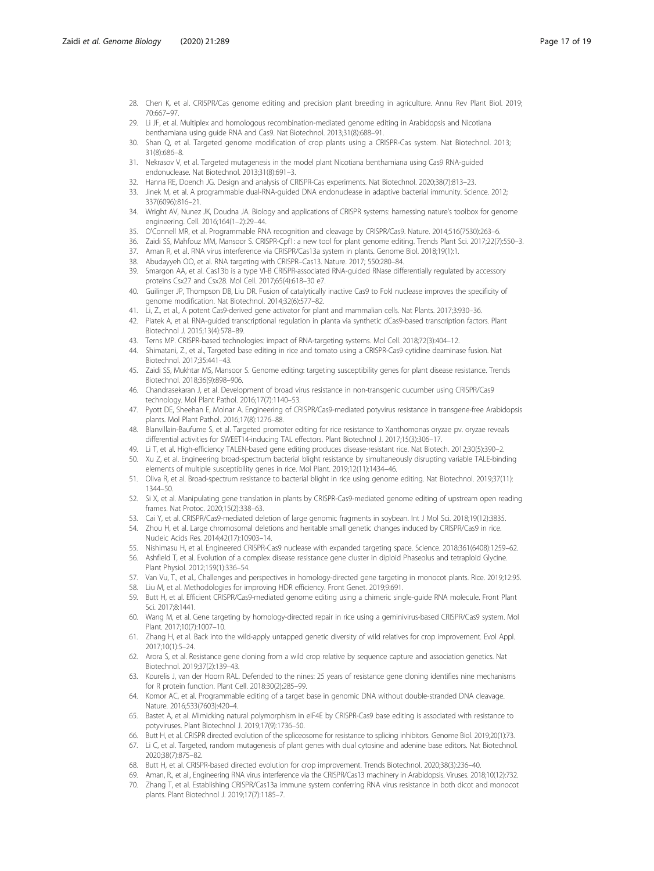- <span id="page-16-0"></span>28. Chen K, et al. CRISPR/Cas genome editing and precision plant breeding in agriculture. Annu Rev Plant Biol. 2019; 70:667–97.
- 29. Li JF, et al. Multiplex and homologous recombination-mediated genome editing in Arabidopsis and Nicotiana benthamiana using guide RNA and Cas9. Nat Biotechnol. 2013;31(8):688–91.
- 30. Shan Q, et al. Targeted genome modification of crop plants using a CRISPR-Cas system. Nat Biotechnol. 2013; 31(8):686–8.
- 31. Nekrasov V, et al. Targeted mutagenesis in the model plant Nicotiana benthamiana using Cas9 RNA-guided endonuclease. Nat Biotechnol. 2013;31(8):691–3.
- 32. Hanna RE, Doench JG. Design and analysis of CRISPR-Cas experiments. Nat Biotechnol. 2020;38(7):813–23.
- 33. Jinek M, et al. A programmable dual-RNA-guided DNA endonuclease in adaptive bacterial immunity. Science. 2012; 337(6096):816–21.
- 34. Wright AV, Nunez JK, Doudna JA. Biology and applications of CRISPR systems: harnessing nature's toolbox for genome engineering. Cell. 2016;164(1–2):29–44.
- 35. O'Connell MR, et al. Programmable RNA recognition and cleavage by CRISPR/Cas9. Nature. 2014;516(7530):263–6.
- 36. Zaidi SS, Mahfouz MM, Mansoor S. CRISPR-Cpf1: a new tool for plant genome editing. Trends Plant Sci. 2017;22(7):550–3.
- 37. Aman R, et al. RNA virus interference via CRISPR/Cas13a system in plants. Genome Biol. 2018;19(1):1.
- 38. Abudayyeh OO, et al. RNA targeting with CRISPR–Cas13. Nature. 2017; 550:280–84.
- 39. Smargon AA, et al. Cas13b is a type VI-B CRISPR-associated RNA-guided RNase differentially regulated by accessory proteins Csx27 and Csx28. Mol Cell. 2017;65(4):618–30 e7.
- 40. Guilinger JP, Thompson DB, Liu DR. Fusion of catalytically inactive Cas9 to FokI nuclease improves the specificity of genome modification. Nat Biotechnol. 2014;32(6):577–82.
- 41. Li, Z., et al., A potent Cas9-derived gene activator for plant and mammalian cells. Nat Plants. 2017;3:930–36.
- 42. Piatek A, et al. RNA-guided transcriptional regulation in planta via synthetic dCas9-based transcription factors. Plant Biotechnol J. 2015;13(4):578–89.
- 43. Terns MP. CRISPR-based technologies: impact of RNA-targeting systems. Mol Cell. 2018;72(3):404–12.
- 44. Shimatani, Z., et al., Targeted base editing in rice and tomato using a CRISPR-Cas9 cytidine deaminase fusion. Nat Biotechnol. 2017;35:441–43.
- 45. Zaidi SS, Mukhtar MS, Mansoor S. Genome editing: targeting susceptibility genes for plant disease resistance. Trends Biotechnol. 2018;36(9):898–906.
- 46. Chandrasekaran J, et al. Development of broad virus resistance in non-transgenic cucumber using CRISPR/Cas9 technology. Mol Plant Pathol. 2016;17(7):1140–53.
- 47. Pyott DE, Sheehan E, Molnar A. Engineering of CRISPR/Cas9-mediated potyvirus resistance in transgene-free Arabidopsis plants. Mol Plant Pathol. 2016;17(8):1276–88.
- 48. Blanvillain-Baufume S, et al. Targeted promoter editing for rice resistance to Xanthomonas oryzae pv. oryzae reveals differential activities for SWEET14-inducing TAL effectors. Plant Biotechnol J. 2017;15(3):306–17.
- 49. Li T, et al. High-efficiency TALEN-based gene editing produces disease-resistant rice. Nat Biotech. 2012;30(5):390–2.
- 50. Xu Z, et al. Engineering broad-spectrum bacterial blight resistance by simultaneously disrupting variable TALE-binding elements of multiple susceptibility genes in rice. Mol Plant. 2019;12(11):1434–46.
- 51. Oliva R, et al. Broad-spectrum resistance to bacterial blight in rice using genome editing. Nat Biotechnol. 2019;37(11): 1344–50.
- 52. Si X, et al. Manipulating gene translation in plants by CRISPR-Cas9-mediated genome editing of upstream open reading frames. Nat Protoc. 2020;15(2):338–63.
- 53. Cai Y, et al. CRISPR/Cas9-mediated deletion of large genomic fragments in soybean. Int J Mol Sci. 2018;19(12):3835.
- 54. Zhou H, et al. Large chromosomal deletions and heritable small genetic changes induced by CRISPR/Cas9 in rice. Nucleic Acids Res. 2014;42(17):10903–14.
- 55. Nishimasu H, et al. Engineered CRISPR-Cas9 nuclease with expanded targeting space. Science. 2018;361(6408):1259–62.
- 56. Ashfield T, et al. Evolution of a complex disease resistance gene cluster in diploid Phaseolus and tetraploid Glycine. Plant Physiol. 2012;159(1):336–54.
- 57. Van Vu, T., et al., Challenges and perspectives in homology-directed gene targeting in monocot plants. Rice. 2019;12:95.
- 58. Liu M, et al. Methodologies for improving HDR efficiency. Front Genet. 2019;9:691.
- 59. Butt H, et al. Efficient CRISPR/Cas9-mediated genome editing using a chimeric single-guide RNA molecule. Front Plant Sci. 2017;8:1441.
- 60. Wang M, et al. Gene targeting by homology-directed repair in rice using a geminivirus-based CRISPR/Cas9 system. Mol Plant. 2017;10(7):1007–10.
- 61. Zhang H, et al. Back into the wild-apply untapped genetic diversity of wild relatives for crop improvement. Evol Appl. 2017;10(1):5–24.
- 62. Arora S, et al. Resistance gene cloning from a wild crop relative by sequence capture and association genetics. Nat Biotechnol. 2019;37(2):139–43.
- 63. Kourelis J, van der Hoorn RAL. Defended to the nines: 25 years of resistance gene cloning identifies nine mechanisms for R protein function. Plant Cell. 2018:30(2);285–99.
- 64. Komor AC, et al. Programmable editing of a target base in genomic DNA without double-stranded DNA cleavage. Nature. 2016;533(7603):420–4.
- 65. Bastet A, et al. Mimicking natural polymorphism in eIF4E by CRISPR-Cas9 base editing is associated with resistance to potyviruses. Plant Biotechnol J. 2019;17(9):1736–50.
- 66. Butt H, et al. CRISPR directed evolution of the spliceosome for resistance to splicing inhibitors. Genome Biol. 2019;20(1):73.
- 67. Li C, et al. Targeted, random mutagenesis of plant genes with dual cytosine and adenine base editors. Nat Biotechnol. 2020;38(7):875–82.
- 68. Butt H, et al. CRISPR-based directed evolution for crop improvement. Trends Biotechnol. 2020;38(3):236–40.
- 69. Aman, R., et al., Engineering RNA virus interference via the CRISPR/Cas13 machinery in Arabidopsis. Viruses. 2018;10(12):732. 70. Zhang T, et al. Establishing CRISPR/Cas13a immune system conferring RNA virus resistance in both dicot and monocot plants. Plant Biotechnol J. 2019;17(7):1185–7.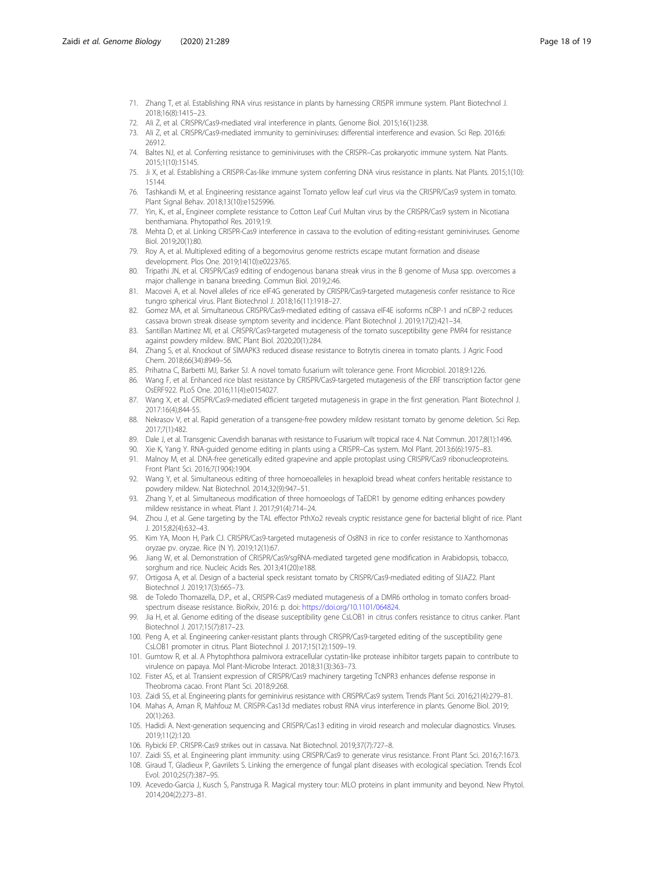- <span id="page-17-0"></span>71. Zhang T, et al. Establishing RNA virus resistance in plants by harnessing CRISPR immune system. Plant Biotechnol J. 2018;16(8):1415–23.
- 72. Ali Z, et al. CRISPR/Cas9-mediated viral interference in plants. Genome Biol. 2015;16(1):238.
- 73. Ali Z, et al. CRISPR/Cas9-mediated immunity to geminiviruses: differential interference and evasion. Sci Rep. 2016;6: 26912.
- 74. Baltes NJ, et al. Conferring resistance to geminiviruses with the CRISPR–Cas prokaryotic immune system. Nat Plants. 2015;1(10):15145.
- 75. Ji X, et al. Establishing a CRISPR-Cas-like immune system conferring DNA virus resistance in plants. Nat Plants. 2015;1(10): 15144.
- 76. Tashkandi M, et al. Engineering resistance against Tomato yellow leaf curl virus via the CRISPR/Cas9 system in tomato. Plant Signal Behav. 2018;13(10):e1525996.
- 77. Yin, K., et al., Engineer complete resistance to Cotton Leaf Curl Multan virus by the CRISPR/Cas9 system in Nicotiana benthamiana. Phytopathol Res. 2019;1:9.
- 78. Mehta D, et al. Linking CRISPR-Cas9 interference in cassava to the evolution of editing-resistant geminiviruses. Genome Biol. 2019;20(1):80.
- 79. Roy A, et al. Multiplexed editing of a begomovirus genome restricts escape mutant formation and disease development. Plos One. 2019;14(10):e0223765.
- 80. Tripathi JN, et al. CRISPR/Cas9 editing of endogenous banana streak virus in the B genome of Musa spp. overcomes a major challenge in banana breeding. Commun Biol. 2019;2:46.
- 81. Macovei A, et al. Novel alleles of rice eIF4G generated by CRISPR/Cas9-targeted mutagenesis confer resistance to Rice tungro spherical virus. Plant Biotechnol J. 2018;16(11):1918–27.
- 82. Gomez MA, et al. Simultaneous CRISPR/Cas9-mediated editing of cassava eIF4E isoforms nCBP-1 and nCBP-2 reduces cassava brown streak disease symptom severity and incidence. Plant Biotechnol J. 2019;17(2):421–34.
- 83. Santillan Martinez MI, et al. CRISPR/Cas9-targeted mutagenesis of the tomato susceptibility gene PMR4 for resistance against powdery mildew. BMC Plant Biol. 2020;20(1):284.
- 84. Zhang S, et al. Knockout of SlMAPK3 reduced disease resistance to Botrytis cinerea in tomato plants. J Agric Food Chem. 2018;66(34):8949–56.
- 85. Prihatna C, Barbetti MJ, Barker SJ. A novel tomato fusarium wilt tolerance gene. Front Microbiol. 2018;9:1226.
- 86. Wang F, et al. Enhanced rice blast resistance by CRISPR/Cas9-targeted mutagenesis of the ERF transcription factor gene OsERF922. PLoS One. 2016;11(4):e0154027.
- 87. Wang X, et al. CRISPR/Cas9-mediated efficient targeted mutagenesis in grape in the first generation. Plant Biotechnol J. 2017:16(4);844-55.
- 88. Nekrasov V, et al. Rapid generation of a transgene-free powdery mildew resistant tomato by genome deletion. Sci Rep. 2017;7(1):482.
- 89. Dale J, et al. Transgenic Cavendish bananas with resistance to Fusarium wilt tropical race 4. Nat Commun. 2017;8(1):1496.
- 90. Xie K, Yang Y. RNA-guided genome editing in plants using a CRISPR–Cas system. Mol Plant. 2013;6(6):1975–83.
- 91. Malnoy M, et al. DNA-free genetically edited grapevine and apple protoplast using CRISPR/Cas9 ribonucleoproteins. Front Plant Sci. 2016;7(1904):1904.
- 92. Wang Y, et al. Simultaneous editing of three homoeoalleles in hexaploid bread wheat confers heritable resistance to powdery mildew. Nat Biotechnol. 2014;32(9):947–51.
- 93. Zhang Y, et al. Simultaneous modification of three homoeologs of TaEDR1 by genome editing enhances powdery mildew resistance in wheat. Plant J. 2017;91(4):714–24.
- 94. Zhou J, et al. Gene targeting by the TAL effector PthXo2 reveals cryptic resistance gene for bacterial blight of rice. Plant J. 2015;82(4):632–43.
- 95. Kim YA, Moon H, Park CJ. CRISPR/Cas9-targeted mutagenesis of Os8N3 in rice to confer resistance to Xanthomonas oryzae pv. oryzae. Rice (N Y). 2019;12(1):67.
- 96. Jiang W, et al. Demonstration of CRISPR/Cas9/sgRNA-mediated targeted gene modification in Arabidopsis, tobacco, sorghum and rice. Nucleic Acids Res. 2013;41(20):e188.
- 97. Ortigosa A, et al. Design of a bacterial speck resistant tomato by CRISPR/Cas9-mediated editing of SlJAZ2. Plant Biotechnol J. 2019;17(3):665–73.
- 98. de Toledo Thomazella, D.P., et al., CRISPR-Cas9 mediated mutagenesis of a DMR6 ortholog in tomato confers broadspectrum disease resistance. BioRxiv, 2016: p. doi: <https://doi.org/10.1101/064824>.
- 99. Jia H, et al. Genome editing of the disease susceptibility gene CsLOB1 in citrus confers resistance to citrus canker. Plant Biotechnol J. 2017;15(7):817–23.
- 100. Peng A, et al. Engineering canker-resistant plants through CRISPR/Cas9-targeted editing of the susceptibility gene CsLOB1 promoter in citrus. Plant Biotechnol J. 2017;15(12):1509–19.
- 101. Gumtow R, et al. A Phytophthora palmivora extracellular cystatin-like protease inhibitor targets papain to contribute to virulence on papaya. Mol Plant-Microbe Interact. 2018;31(3):363–73.
- 102. Fister AS, et al. Transient expression of CRISPR/Cas9 machinery targeting TcNPR3 enhances defense response in Theobroma cacao. Front Plant Sci. 2018;9:268.
- 103. Zaidi SS, et al. Engineering plants for geminivirus resistance with CRISPR/Cas9 system. Trends Plant Sci. 2016;21(4):279–81.
- 104. Mahas A, Aman R, Mahfouz M. CRISPR-Cas13d mediates robust RNA virus interference in plants. Genome Biol. 2019; 20(1):263.
- 105. Hadidi A. Next-generation sequencing and CRISPR/Cas13 editing in viroid research and molecular diagnostics. Viruses. 2019;11(2):120.
- 106. Rybicki EP. CRISPR-Cas9 strikes out in cassava. Nat Biotechnol. 2019;37(7):727–8.
- 107. Zaidi SS, et al. Engineering plant immunity: using CRISPR/Cas9 to generate virus resistance. Front Plant Sci. 2016;7:1673.
- 108. Giraud T, Gladieux P, Gavrilets S. Linking the emergence of fungal plant diseases with ecological speciation. Trends Ecol Evol. 2010;25(7):387–95.
- 109. Acevedo-Garcia J, Kusch S, Panstruga R. Magical mystery tour: MLO proteins in plant immunity and beyond. New Phytol. 2014;204(2):273–81.